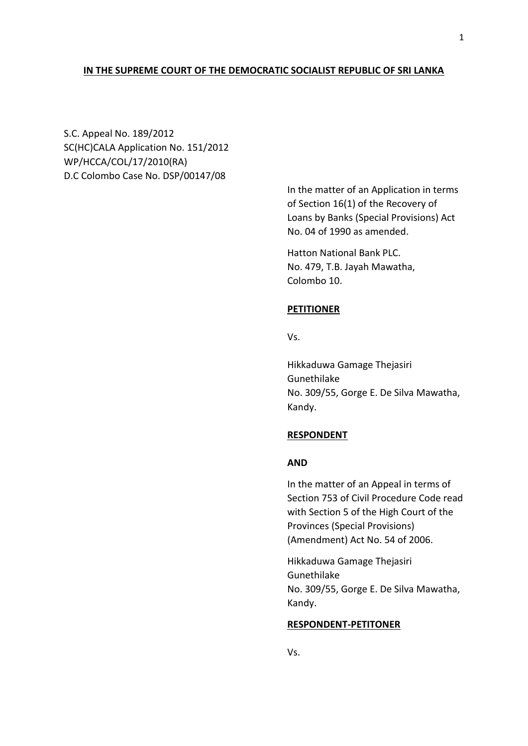## **IN THE SUPREME COURT OF THE DEMOCRATIC SOCIALIST REPUBLIC OF SRI LANKA**

S.C. Appeal No. 189/2012 SC(HC)CALA Application No. 151/2012 WP/HCCA/COL/17/2010(RA) D.C Colombo Case No. DSP/00147/08

> In the matter of an Application in terms of Section 16(1) of the Recovery of Loans by Banks (Special Provisions) Act No. 04 of 1990 as amended.

Hatton National Bank PLC. No. 479, T.B. Jayah Mawatha, Colombo 10.

## **PETITIONER**

Vs.

Hikkaduwa Gamage Thejasiri Gunethilake No. 309/55, Gorge E. De Silva Mawatha, Kandy.

### **RESPONDENT**

## **AND**

In the matter of an Appeal in terms of Section 753 of Civil Procedure Code read with Section 5 of the High Court of the Provinces (Special Provisions) (Amendment) Act No. 54 of 2006.

Hikkaduwa Gamage Thejasiri Gunethilake No. 309/55, Gorge E. De Silva Mawatha, Kandy.

#### **RESPONDENT-PETITONER**

Vs.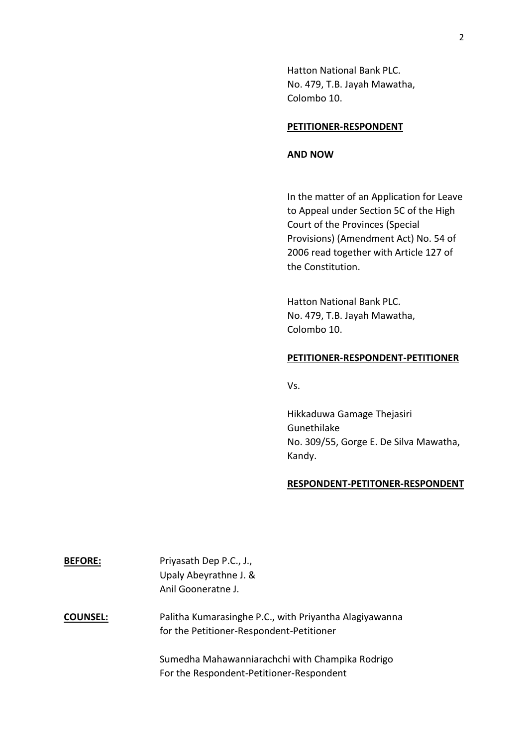Hatton National Bank PLC. No. 479, T.B. Jayah Mawatha, Colombo 10.

### **PETITIONER-RESPONDENT**

## **AND NOW**

In the matter of an Application for Leave to Appeal under Section 5C of the High Court of the Provinces (Special Provisions) (Amendment Act) No. 54 of 2006 read together with Article 127 of the Constitution.

Hatton National Bank PLC. No. 479, T.B. Jayah Mawatha, Colombo 10.

## **PETITIONER-RESPONDENT-PETITIONER**

Vs.

Hikkaduwa Gamage Thejasiri Gunethilake No. 309/55, Gorge E. De Silva Mawatha, Kandy.

### **RESPONDENT-PETITONER-RESPONDENT**

| <b>BEFORE:</b>  | Priyasath Dep P.C., J.,                                                                            |
|-----------------|----------------------------------------------------------------------------------------------------|
|                 | Upaly Abeyrathne J. &                                                                              |
|                 | Anil Gooneratne J.                                                                                 |
| <b>COUNSEL:</b> | Palitha Kumarasinghe P.C., with Priyantha Alagiyawanna<br>for the Petitioner-Respondent-Petitioner |
|                 | Sumedha Mahawanniarachchi with Champika Rodrigo<br>For the Respondent-Petitioner-Respondent        |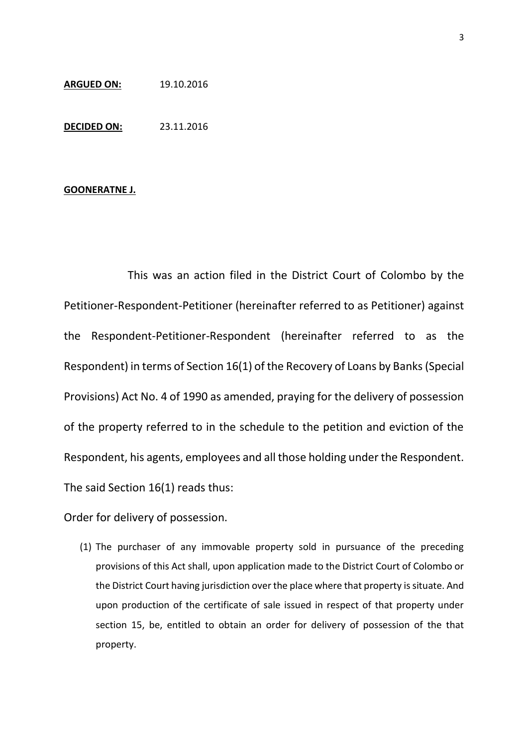# **ARGUED ON:** 19.10.2016

**DECIDED ON:** 23.11.2016

### **GOONERATNE J.**

This was an action filed in the District Court of Colombo by the Petitioner-Respondent-Petitioner (hereinafter referred to as Petitioner) against the Respondent-Petitioner-Respondent (hereinafter referred to as the Respondent) in terms of Section 16(1) of the Recovery of Loans by Banks (Special Provisions) Act No. 4 of 1990 as amended, praying for the delivery of possession of the property referred to in the schedule to the petition and eviction of the Respondent, his agents, employees and all those holding under the Respondent. The said Section 16(1) reads thus:

Order for delivery of possession.

(1) The purchaser of any immovable property sold in pursuance of the preceding provisions of this Act shall, upon application made to the District Court of Colombo or the District Court having jurisdiction over the place where that property is situate. And upon production of the certificate of sale issued in respect of that property under section 15, be, entitled to obtain an order for delivery of possession of the that property.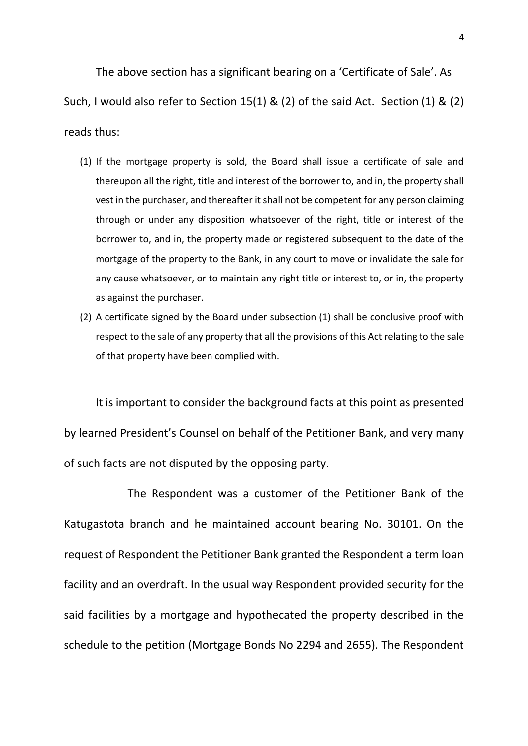The above section has a significant bearing on a 'Certificate of Sale'. As Such, I would also refer to Section 15(1) & (2) of the said Act. Section (1) & (2) reads thus:

- (1) If the mortgage property is sold, the Board shall issue a certificate of sale and thereupon all the right, title and interest of the borrower to, and in, the property shall vest in the purchaser, and thereafter it shall not be competent for any person claiming through or under any disposition whatsoever of the right, title or interest of the borrower to, and in, the property made or registered subsequent to the date of the mortgage of the property to the Bank, in any court to move or invalidate the sale for any cause whatsoever, or to maintain any right title or interest to, or in, the property as against the purchaser.
- (2) A certificate signed by the Board under subsection (1) shall be conclusive proof with respect to the sale of any property that all the provisions of this Act relating to the sale of that property have been complied with.

It is important to consider the background facts at this point as presented by learned President's Counsel on behalf of the Petitioner Bank, and very many of such facts are not disputed by the opposing party.

The Respondent was a customer of the Petitioner Bank of the Katugastota branch and he maintained account bearing No. 30101. On the request of Respondent the Petitioner Bank granted the Respondent a term loan facility and an overdraft. In the usual way Respondent provided security for the said facilities by a mortgage and hypothecated the property described in the schedule to the petition (Mortgage Bonds No 2294 and 2655). The Respondent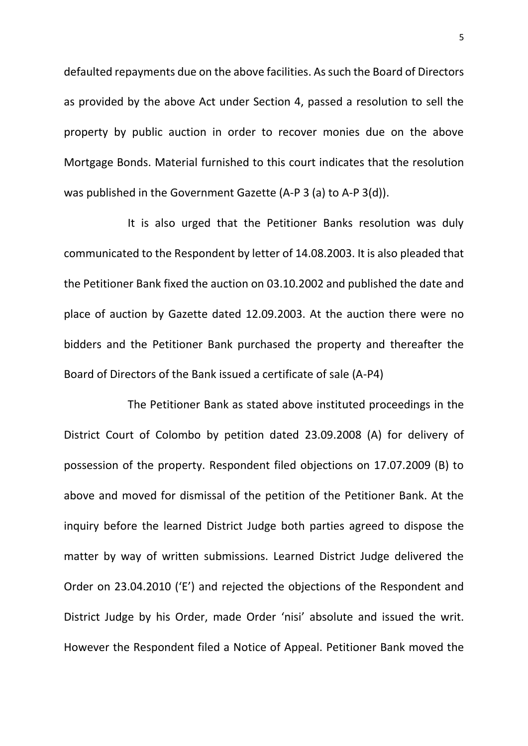defaulted repayments due on the above facilities. As such the Board of Directors as provided by the above Act under Section 4, passed a resolution to sell the property by public auction in order to recover monies due on the above Mortgage Bonds. Material furnished to this court indicates that the resolution was published in the Government Gazette (A-P 3 (a) to A-P 3(d)).

It is also urged that the Petitioner Banks resolution was duly communicated to the Respondent by letter of 14.08.2003. It is also pleaded that the Petitioner Bank fixed the auction on 03.10.2002 and published the date and place of auction by Gazette dated 12.09.2003. At the auction there were no bidders and the Petitioner Bank purchased the property and thereafter the Board of Directors of the Bank issued a certificate of sale (A-P4)

The Petitioner Bank as stated above instituted proceedings in the District Court of Colombo by petition dated 23.09.2008 (A) for delivery of possession of the property. Respondent filed objections on 17.07.2009 (B) to above and moved for dismissal of the petition of the Petitioner Bank. At the inquiry before the learned District Judge both parties agreed to dispose the matter by way of written submissions. Learned District Judge delivered the Order on 23.04.2010 ('E') and rejected the objections of the Respondent and District Judge by his Order, made Order 'nisi' absolute and issued the writ. However the Respondent filed a Notice of Appeal. Petitioner Bank moved the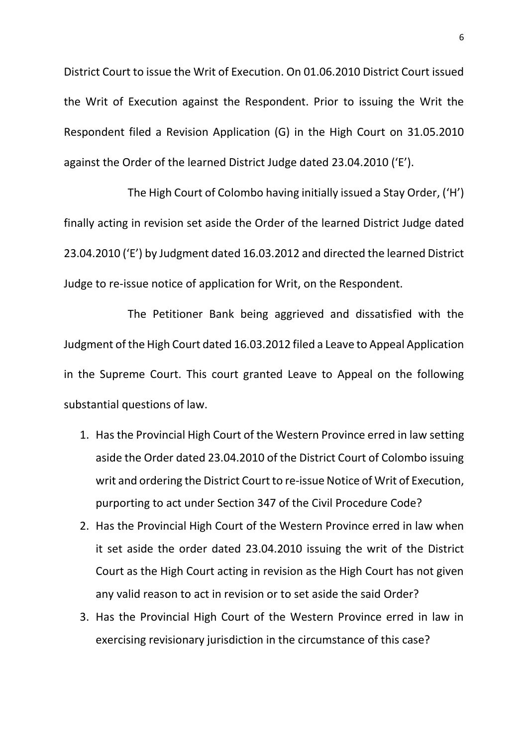District Court to issue the Writ of Execution. On 01.06.2010 District Court issued the Writ of Execution against the Respondent. Prior to issuing the Writ the Respondent filed a Revision Application (G) in the High Court on 31.05.2010 against the Order of the learned District Judge dated 23.04.2010 ('E').

The High Court of Colombo having initially issued a Stay Order, ('H') finally acting in revision set aside the Order of the learned District Judge dated 23.04.2010 ('E') by Judgment dated 16.03.2012 and directed the learned District Judge to re-issue notice of application for Writ, on the Respondent.

The Petitioner Bank being aggrieved and dissatisfied with the Judgment of the High Court dated 16.03.2012 filed a Leave to Appeal Application in the Supreme Court. This court granted Leave to Appeal on the following substantial questions of law.

- 1. Has the Provincial High Court of the Western Province erred in law setting aside the Order dated 23.04.2010 of the District Court of Colombo issuing writ and ordering the District Court to re-issue Notice of Writ of Execution, purporting to act under Section 347 of the Civil Procedure Code?
- 2. Has the Provincial High Court of the Western Province erred in law when it set aside the order dated 23.04.2010 issuing the writ of the District Court as the High Court acting in revision as the High Court has not given any valid reason to act in revision or to set aside the said Order?
- 3. Has the Provincial High Court of the Western Province erred in law in exercising revisionary jurisdiction in the circumstance of this case?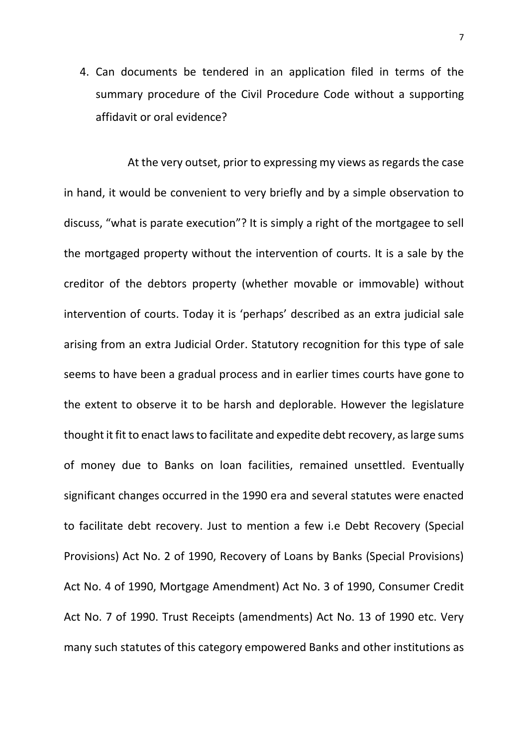4. Can documents be tendered in an application filed in terms of the summary procedure of the Civil Procedure Code without a supporting affidavit or oral evidence?

At the very outset, prior to expressing my views as regards the case in hand, it would be convenient to very briefly and by a simple observation to discuss, "what is parate execution"? It is simply a right of the mortgagee to sell the mortgaged property without the intervention of courts. It is a sale by the creditor of the debtors property (whether movable or immovable) without intervention of courts. Today it is 'perhaps' described as an extra judicial sale arising from an extra Judicial Order. Statutory recognition for this type of sale seems to have been a gradual process and in earlier times courts have gone to the extent to observe it to be harsh and deplorable. However the legislature thought it fit to enact laws to facilitate and expedite debt recovery, as large sums of money due to Banks on loan facilities, remained unsettled. Eventually significant changes occurred in the 1990 era and several statutes were enacted to facilitate debt recovery. Just to mention a few i.e Debt Recovery (Special Provisions) Act No. 2 of 1990, Recovery of Loans by Banks (Special Provisions) Act No. 4 of 1990, Mortgage Amendment) Act No. 3 of 1990, Consumer Credit Act No. 7 of 1990. Trust Receipts (amendments) Act No. 13 of 1990 etc. Very many such statutes of this category empowered Banks and other institutions as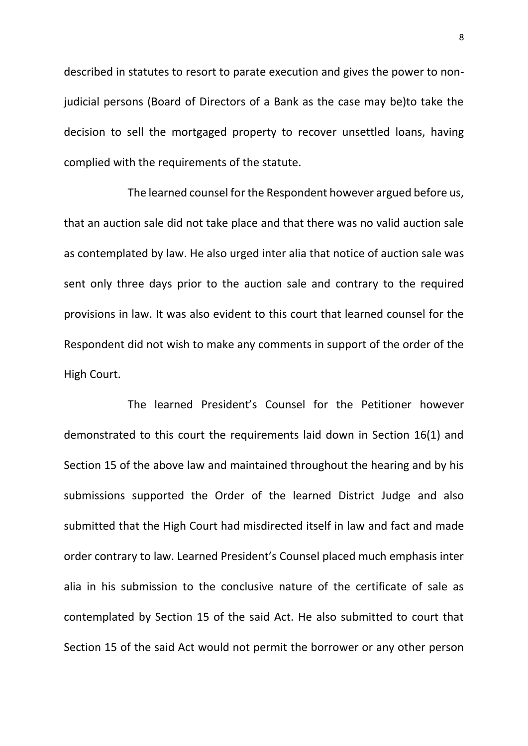described in statutes to resort to parate execution and gives the power to nonjudicial persons (Board of Directors of a Bank as the case may be)to take the decision to sell the mortgaged property to recover unsettled loans, having complied with the requirements of the statute.

The learned counsel for the Respondent however argued before us, that an auction sale did not take place and that there was no valid auction sale as contemplated by law. He also urged inter alia that notice of auction sale was sent only three days prior to the auction sale and contrary to the required provisions in law. It was also evident to this court that learned counsel for the Respondent did not wish to make any comments in support of the order of the High Court.

The learned President's Counsel for the Petitioner however demonstrated to this court the requirements laid down in Section 16(1) and Section 15 of the above law and maintained throughout the hearing and by his submissions supported the Order of the learned District Judge and also submitted that the High Court had misdirected itself in law and fact and made order contrary to law. Learned President's Counsel placed much emphasis inter alia in his submission to the conclusive nature of the certificate of sale as contemplated by Section 15 of the said Act. He also submitted to court that Section 15 of the said Act would not permit the borrower or any other person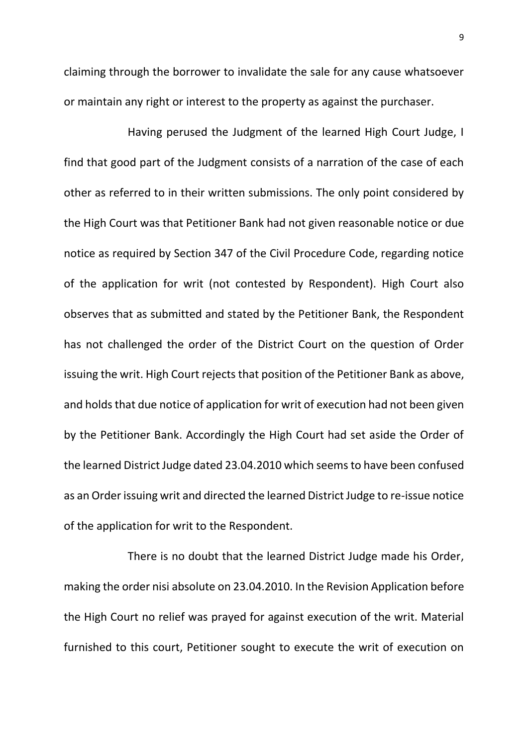claiming through the borrower to invalidate the sale for any cause whatsoever or maintain any right or interest to the property as against the purchaser.

Having perused the Judgment of the learned High Court Judge, I find that good part of the Judgment consists of a narration of the case of each other as referred to in their written submissions. The only point considered by the High Court was that Petitioner Bank had not given reasonable notice or due notice as required by Section 347 of the Civil Procedure Code, regarding notice of the application for writ (not contested by Respondent). High Court also observes that as submitted and stated by the Petitioner Bank, the Respondent has not challenged the order of the District Court on the question of Order issuing the writ. High Court rejects that position of the Petitioner Bank as above, and holds that due notice of application for writ of execution had not been given by the Petitioner Bank. Accordingly the High Court had set aside the Order of the learned District Judge dated 23.04.2010 which seems to have been confused as an Order issuing writ and directed the learned District Judge to re-issue notice of the application for writ to the Respondent.

There is no doubt that the learned District Judge made his Order, making the order nisi absolute on 23.04.2010. In the Revision Application before the High Court no relief was prayed for against execution of the writ. Material furnished to this court, Petitioner sought to execute the writ of execution on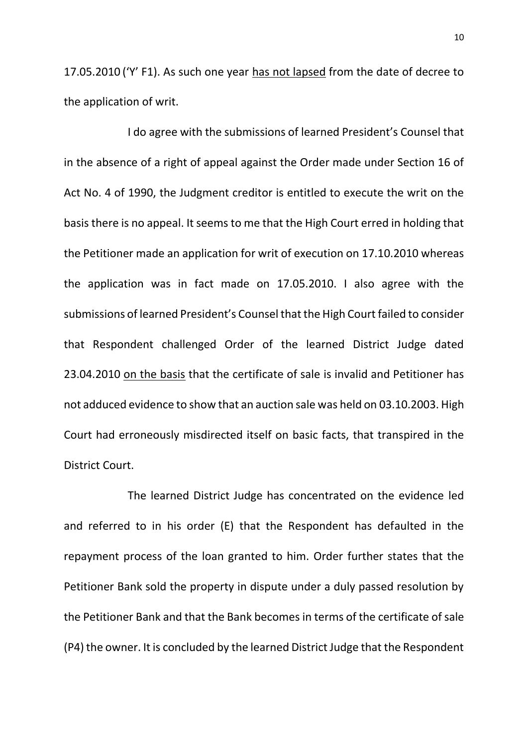17.05.2010 ('Y' F1). As such one year has not lapsed from the date of decree to the application of writ.

I do agree with the submissions of learned President's Counsel that in the absence of a right of appeal against the Order made under Section 16 of Act No. 4 of 1990, the Judgment creditor is entitled to execute the writ on the basis there is no appeal. It seems to me that the High Court erred in holding that the Petitioner made an application for writ of execution on 17.10.2010 whereas the application was in fact made on 17.05.2010. I also agree with the submissions of learned President's Counsel that the High Court failed to consider that Respondent challenged Order of the learned District Judge dated 23.04.2010 on the basis that the certificate of sale is invalid and Petitioner has not adduced evidence to show that an auction sale was held on 03.10.2003. High Court had erroneously misdirected itself on basic facts, that transpired in the District Court.

The learned District Judge has concentrated on the evidence led and referred to in his order (E) that the Respondent has defaulted in the repayment process of the loan granted to him. Order further states that the Petitioner Bank sold the property in dispute under a duly passed resolution by the Petitioner Bank and that the Bank becomes in terms of the certificate of sale (P4) the owner. It is concluded by the learned District Judge that the Respondent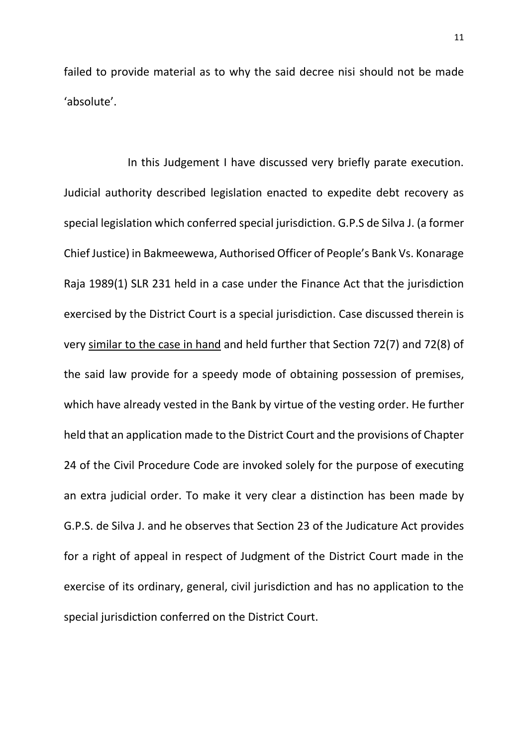failed to provide material as to why the said decree nisi should not be made 'absolute'.

In this Judgement I have discussed very briefly parate execution. Judicial authority described legislation enacted to expedite debt recovery as special legislation which conferred special jurisdiction. G.P.S de Silva J. (a former Chief Justice) in Bakmeewewa, Authorised Officer of People's Bank Vs. Konarage Raja 1989(1) SLR 231 held in a case under the Finance Act that the jurisdiction exercised by the District Court is a special jurisdiction. Case discussed therein is very similar to the case in hand and held further that Section 72(7) and 72(8) of the said law provide for a speedy mode of obtaining possession of premises, which have already vested in the Bank by virtue of the vesting order. He further held that an application made to the District Court and the provisions of Chapter 24 of the Civil Procedure Code are invoked solely for the purpose of executing an extra judicial order. To make it very clear a distinction has been made by G.P.S. de Silva J. and he observes that Section 23 of the Judicature Act provides for a right of appeal in respect of Judgment of the District Court made in the exercise of its ordinary, general, civil jurisdiction and has no application to the special jurisdiction conferred on the District Court.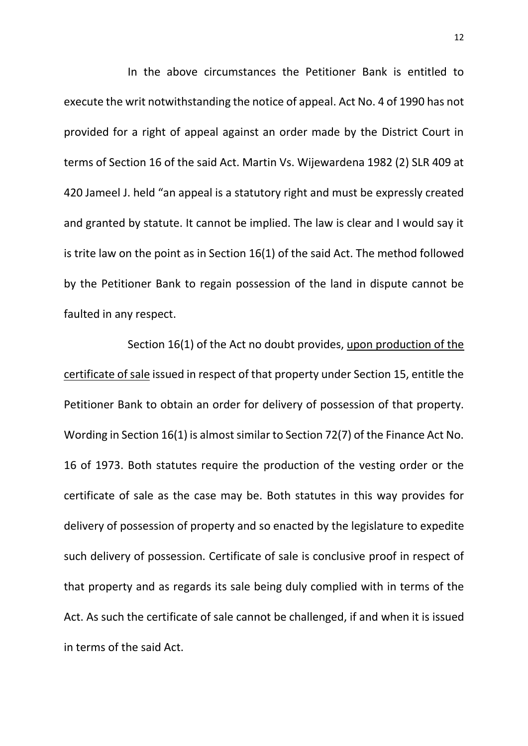In the above circumstances the Petitioner Bank is entitled to execute the writ notwithstanding the notice of appeal. Act No. 4 of 1990 has not provided for a right of appeal against an order made by the District Court in terms of Section 16 of the said Act. Martin Vs. Wijewardena 1982 (2) SLR 409 at 420 Jameel J. held "an appeal is a statutory right and must be expressly created and granted by statute. It cannot be implied. The law is clear and I would say it is trite law on the point as in Section 16(1) of the said Act. The method followed by the Petitioner Bank to regain possession of the land in dispute cannot be faulted in any respect.

Section 16(1) of the Act no doubt provides, upon production of the certificate of sale issued in respect of that property under Section 15, entitle the Petitioner Bank to obtain an order for delivery of possession of that property. Wording in Section 16(1) is almost similar to Section 72(7) of the Finance Act No. 16 of 1973. Both statutes require the production of the vesting order or the certificate of sale as the case may be. Both statutes in this way provides for delivery of possession of property and so enacted by the legislature to expedite such delivery of possession. Certificate of sale is conclusive proof in respect of that property and as regards its sale being duly complied with in terms of the Act. As such the certificate of sale cannot be challenged, if and when it is issued in terms of the said Act.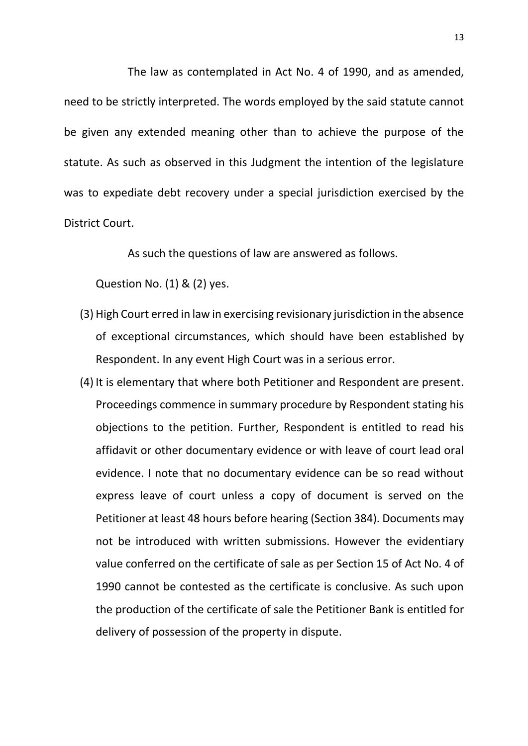The law as contemplated in Act No. 4 of 1990, and as amended, need to be strictly interpreted. The words employed by the said statute cannot be given any extended meaning other than to achieve the purpose of the statute. As such as observed in this Judgment the intention of the legislature was to expediate debt recovery under a special jurisdiction exercised by the District Court.

As such the questions of law are answered as follows.

Question No. (1) & (2) yes.

- (3) High Court erred in law in exercising revisionary jurisdiction in the absence of exceptional circumstances, which should have been established by Respondent. In any event High Court was in a serious error.
- (4) It is elementary that where both Petitioner and Respondent are present. Proceedings commence in summary procedure by Respondent stating his objections to the petition. Further, Respondent is entitled to read his affidavit or other documentary evidence or with leave of court lead oral evidence. I note that no documentary evidence can be so read without express leave of court unless a copy of document is served on the Petitioner at least 48 hours before hearing (Section 384). Documents may not be introduced with written submissions. However the evidentiary value conferred on the certificate of sale as per Section 15 of Act No. 4 of 1990 cannot be contested as the certificate is conclusive. As such upon the production of the certificate of sale the Petitioner Bank is entitled for delivery of possession of the property in dispute.